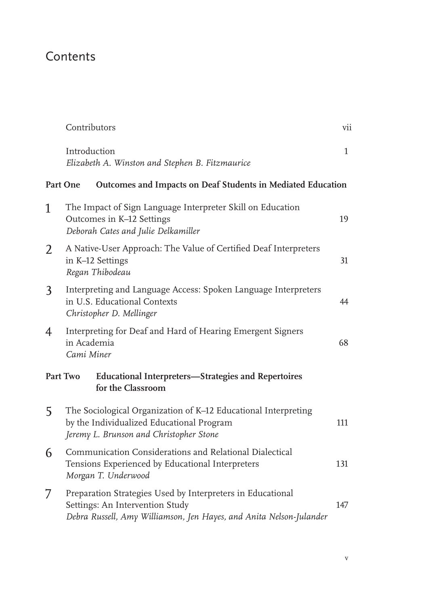## Contents

|   | Contributors                                                                                                                                                         | vii          |
|---|----------------------------------------------------------------------------------------------------------------------------------------------------------------------|--------------|
|   | Introduction<br>Elizabeth A. Winston and Stephen B. Fitzmaurice                                                                                                      | $\mathbf{1}$ |
|   | Outcomes and Impacts on Deaf Students in Mediated Education<br>Part One                                                                                              |              |
| 1 | The Impact of Sign Language Interpreter Skill on Education<br>Outcomes in K-12 Settings<br>Deborah Cates and Julie Delkamiller                                       | 19           |
| 2 | A Native-User Approach: The Value of Certified Deaf Interpreters<br>in K-12 Settings<br>Regan Thibodeau                                                              | 31           |
| 3 | Interpreting and Language Access: Spoken Language Interpreters<br>in U.S. Educational Contexts<br>Christopher D. Mellinger                                           | 44           |
| 4 | Interpreting for Deaf and Hard of Hearing Emergent Signers<br>in Academia<br>Cami Miner                                                                              | 68           |
|   | Part Two<br><b>Educational Interpreters-Strategies and Repertoires</b><br>for the Classroom                                                                          |              |
| 5 | The Sociological Organization of K-12 Educational Interpreting<br>by the Individualized Educational Program<br>Jeremy L. Brunson and Christopher Stone               | 111          |
| 6 | Communication Considerations and Relational Dialectical<br>Tensions Experienced by Educational Interpreters<br>Morgan T. Underwood                                   | 131          |
| 7 | Preparation Strategies Used by Interpreters in Educational<br>Settings: An Intervention Study<br>Debra Russell, Amy Williamson, Jen Hayes, and Anita Nelson-Julander | 147          |